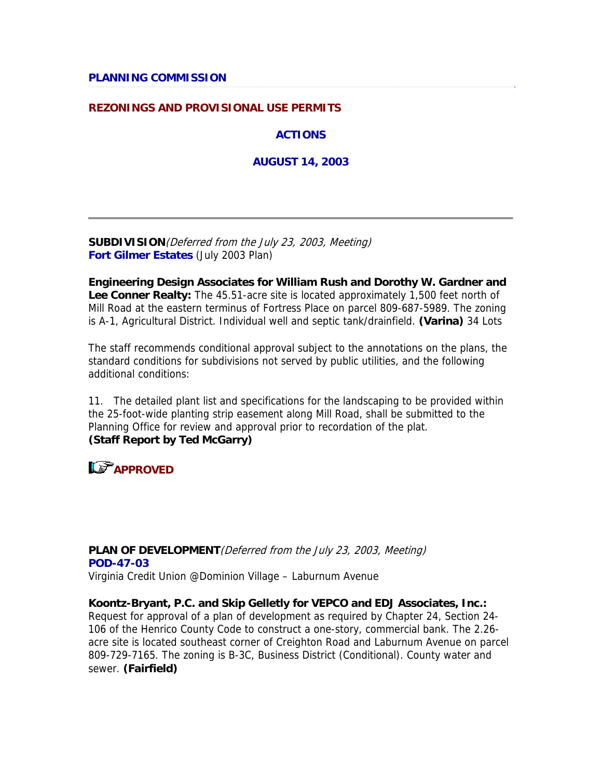#### **REZONINGS AND PROVISIONAL USE PERMITS**

**ACTIONS**

**AUGUST 14, 2003**

**SUBDIVISION**(Deferred from the July 23, 2003, Meeting) **Fort Gilmer Estates** (July 2003 Plan)

**Engineering Design Associates for William Rush and Dorothy W. Gardner and Lee Conner Realty:** The 45.51-acre site is located approximately 1,500 feet north of Mill Road at the eastern terminus of Fortress Place on parcel 809-687-5989. The zoning is A-1, Agricultural District. Individual well and septic tank/drainfield. **(Varina)** 34 Lots

The staff recommends conditional approval subject to the annotations on the plans, the standard conditions for subdivisions not served by public utilities, and the following additional conditions:

11. The detailed plant list and specifications for the landscaping to be provided within the 25-foot-wide planting strip easement along Mill Road, shall be submitted to the Planning Office for review and approval prior to recordation of the plat. **(Staff Report by Ted McGarry)**

**APPROVED**

**PLAN OF DEVELOPMENT**(Deferred from the July 23, 2003, Meeting) **POD-47-03** Virginia Credit Union @Dominion Village – Laburnum Avenue

**Koontz-Bryant, P.C. and Skip Gelletly for VEPCO and EDJ Associates, Inc.:**  Request for approval of a plan of development as required by Chapter 24, Section 24- 106 of the Henrico County Code to construct a one-story, commercial bank. The 2.26 acre site is located southeast corner of Creighton Road and Laburnum Avenue on parcel 809-729-7165. The zoning is B-3C, Business District (Conditional). County water and sewer. **(Fairfield)**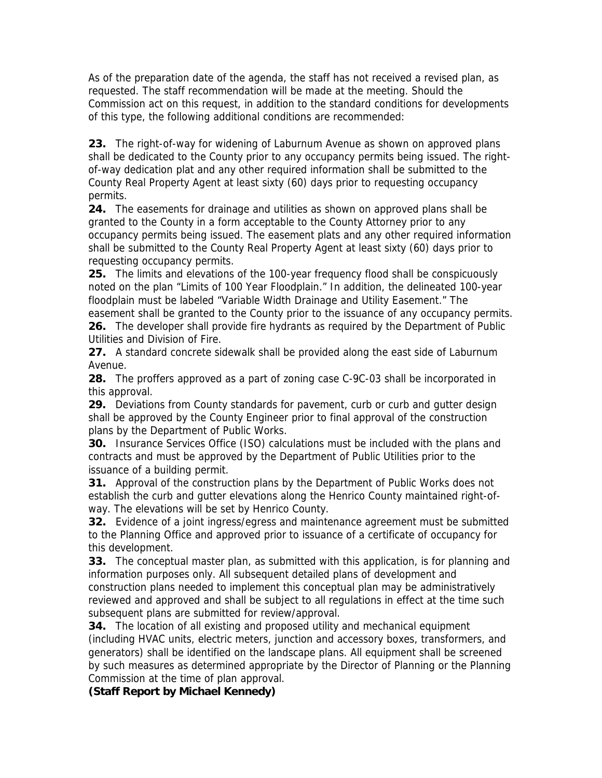As of the preparation date of the agenda, the staff has not received a revised plan, as requested. The staff recommendation will be made at the meeting. Should the Commission act on this request, in addition to the standard conditions for developments of this type, the following additional conditions are recommended:

**23.** The right-of-way for widening of Laburnum Avenue as shown on approved plans shall be dedicated to the County prior to any occupancy permits being issued. The rightof-way dedication plat and any other required information shall be submitted to the County Real Property Agent at least sixty (60) days prior to requesting occupancy permits.

**24.** The easements for drainage and utilities as shown on approved plans shall be granted to the County in a form acceptable to the County Attorney prior to any occupancy permits being issued. The easement plats and any other required information shall be submitted to the County Real Property Agent at least sixty (60) days prior to requesting occupancy permits.

**25.** The limits and elevations of the 100-year frequency flood shall be conspicuously noted on the plan "Limits of 100 Year Floodplain." In addition, the delineated 100-year floodplain must be labeled "Variable Width Drainage and Utility Easement." The easement shall be granted to the County prior to the issuance of any occupancy permits. **26.** The developer shall provide fire hydrants as required by the Department of Public Utilities and Division of Fire.

**27.** A standard concrete sidewalk shall be provided along the east side of Laburnum Avenue.

**28.** The proffers approved as a part of zoning case C-9C-03 shall be incorporated in this approval.

**29.** Deviations from County standards for pavement, curb or curb and gutter design shall be approved by the County Engineer prior to final approval of the construction plans by the Department of Public Works.

**30.** Insurance Services Office (ISO) calculations must be included with the plans and contracts and must be approved by the Department of Public Utilities prior to the issuance of a building permit.

**31.** Approval of the construction plans by the Department of Public Works does not establish the curb and gutter elevations along the Henrico County maintained right-ofway. The elevations will be set by Henrico County.

**32.** Evidence of a joint ingress/egress and maintenance agreement must be submitted to the Planning Office and approved prior to issuance of a certificate of occupancy for this development.

**33.** The conceptual master plan, as submitted with this application, is for planning and information purposes only. All subsequent detailed plans of development and construction plans needed to implement this conceptual plan may be administratively reviewed and approved and shall be subject to all regulations in effect at the time such subsequent plans are submitted for review/approval.

**34.** The location of all existing and proposed utility and mechanical equipment (including HVAC units, electric meters, junction and accessory boxes, transformers, and generators) shall be identified on the landscape plans. All equipment shall be screened by such measures as determined appropriate by the Director of Planning or the Planning Commission at the time of plan approval.

**(Staff Report by Michael Kennedy)**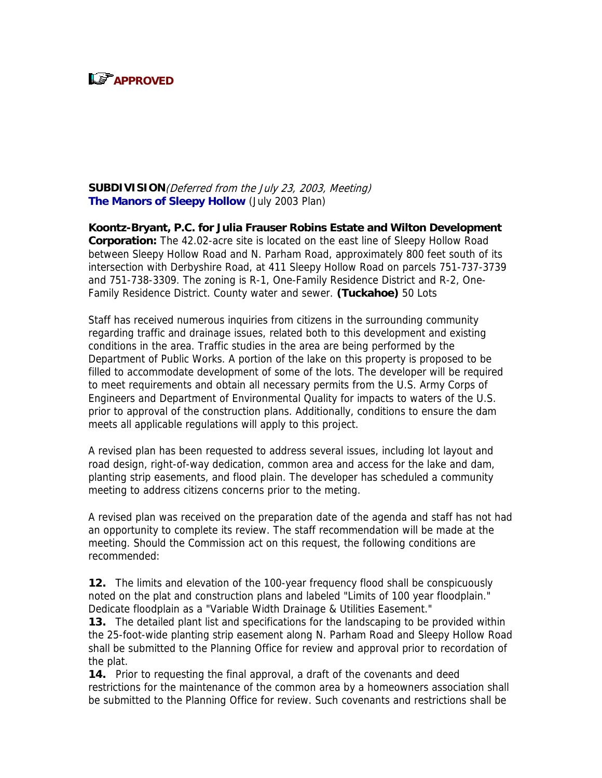

**SUBDIVISION**(Deferred from the July 23, 2003, Meeting) **The Manors of Sleepy Hollow** (July 2003 Plan)

**Koontz-Bryant, P.C. for Julia Frauser Robins Estate and Wilton Development Corporation:** The 42.02-acre site is located on the east line of Sleepy Hollow Road between Sleepy Hollow Road and N. Parham Road, approximately 800 feet south of its intersection with Derbyshire Road, at 411 Sleepy Hollow Road on parcels 751-737-3739 and 751-738-3309. The zoning is R-1, One-Family Residence District and R-2, One-Family Residence District. County water and sewer. **(Tuckahoe)** 50 Lots

Staff has received numerous inquiries from citizens in the surrounding community regarding traffic and drainage issues, related both to this development and existing conditions in the area. Traffic studies in the area are being performed by the Department of Public Works. A portion of the lake on this property is proposed to be filled to accommodate development of some of the lots. The developer will be required to meet requirements and obtain all necessary permits from the U.S. Army Corps of Engineers and Department of Environmental Quality for impacts to waters of the U.S. prior to approval of the construction plans. Additionally, conditions to ensure the dam meets all applicable regulations will apply to this project.

A revised plan has been requested to address several issues, including lot layout and road design, right-of-way dedication, common area and access for the lake and dam, planting strip easements, and flood plain. The developer has scheduled a community meeting to address citizens concerns prior to the meting.

A revised plan was received on the preparation date of the agenda and staff has not had an opportunity to complete its review. The staff recommendation will be made at the meeting. Should the Commission act on this request, the following conditions are recommended:

**12.** The limits and elevation of the 100-year frequency flood shall be conspicuously noted on the plat and construction plans and labeled "Limits of 100 year floodplain." Dedicate floodplain as a "Variable Width Drainage & Utilities Easement."

**13.** The detailed plant list and specifications for the landscaping to be provided within the 25-foot-wide planting strip easement along N. Parham Road and Sleepy Hollow Road shall be submitted to the Planning Office for review and approval prior to recordation of the plat.

**14.** Prior to requesting the final approval, a draft of the covenants and deed restrictions for the maintenance of the common area by a homeowners association shall be submitted to the Planning Office for review. Such covenants and restrictions shall be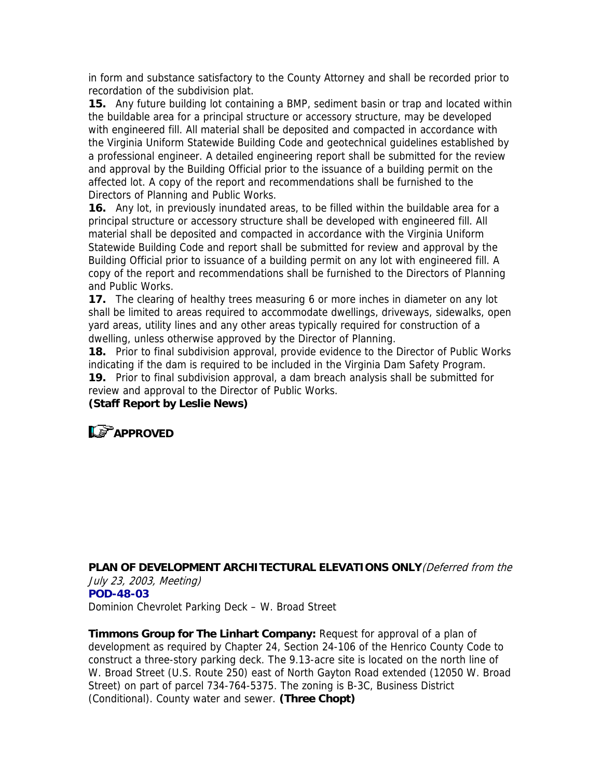in form and substance satisfactory to the County Attorney and shall be recorded prior to recordation of the subdivision plat.

**15.** Any future building lot containing a BMP, sediment basin or trap and located within the buildable area for a principal structure or accessory structure, may be developed with engineered fill. All material shall be deposited and compacted in accordance with the Virginia Uniform Statewide Building Code and geotechnical guidelines established by a professional engineer. A detailed engineering report shall be submitted for the review and approval by the Building Official prior to the issuance of a building permit on the affected lot. A copy of the report and recommendations shall be furnished to the Directors of Planning and Public Works.

**16.** Any lot, in previously inundated areas, to be filled within the buildable area for a principal structure or accessory structure shall be developed with engineered fill. All material shall be deposited and compacted in accordance with the Virginia Uniform Statewide Building Code and report shall be submitted for review and approval by the Building Official prior to issuance of a building permit on any lot with engineered fill. A copy of the report and recommendations shall be furnished to the Directors of Planning and Public Works.

**17.** The clearing of healthy trees measuring 6 or more inches in diameter on any lot shall be limited to areas required to accommodate dwellings, driveways, sidewalks, open yard areas, utility lines and any other areas typically required for construction of a dwelling, unless otherwise approved by the Director of Planning.

**18.** Prior to final subdivision approval, provide evidence to the Director of Public Works indicating if the dam is required to be included in the Virginia Dam Safety Program.

**19.** Prior to final subdivision approval, a dam breach analysis shall be submitted for review and approval to the Director of Public Works.

**(Staff Report by Leslie News)**



**PLAN OF DEVELOPMENT ARCHITECTURAL ELEVATIONS ONLY**(Deferred from the July 23, 2003, Meeting) **POD-48-03** Dominion Chevrolet Parking Deck – W. Broad Street

**Timmons Group for The Linhart Company:** Request for approval of a plan of development as required by Chapter 24, Section 24-106 of the Henrico County Code to construct a three-story parking deck. The 9.13-acre site is located on the north line of W. Broad Street (U.S. Route 250) east of North Gayton Road extended (12050 W. Broad Street) on part of parcel 734-764-5375. The zoning is B-3C, Business District (Conditional). County water and sewer. **(Three Chopt)**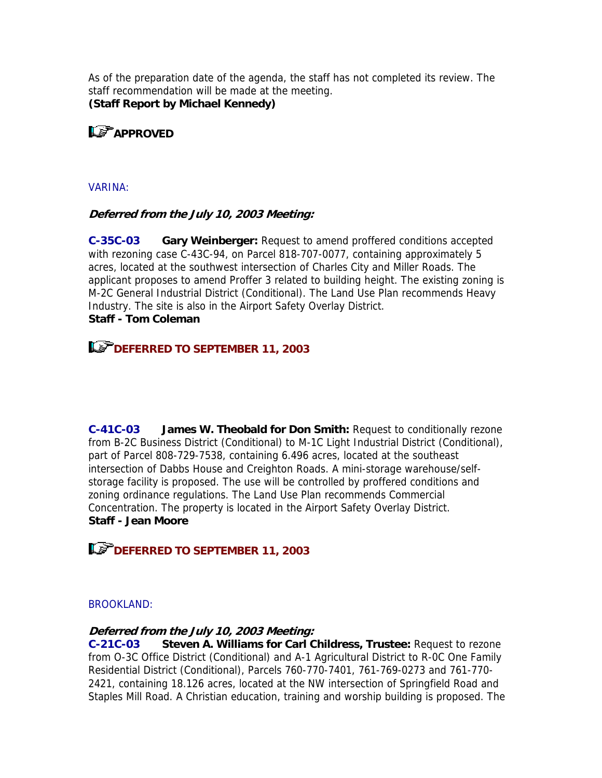As of the preparation date of the agenda, the staff has not completed its review. The staff recommendation will be made at the meeting. **(Staff Report by Michael Kennedy)**

**LE APPROVED** 

#### VARINA:

### **Deferred from the July 10, 2003 Meeting:**

**C-35C-03 Gary Weinberger:** Request to amend proffered conditions accepted with rezoning case C-43C-94, on Parcel 818-707-0077, containing approximately 5 acres, located at the southwest intersection of Charles City and Miller Roads. The applicant proposes to amend Proffer 3 related to building height. The existing zoning is M-2C General Industrial District (Conditional). The Land Use Plan recommends Heavy Industry. The site is also in the Airport Safety Overlay District. **Staff - Tom Coleman**

### **DEFERRED TO SEPTEMBER 11, 2003**

**C-41C-03 James W. Theobald for Don Smith:** Request to conditionally rezone from B-2C Business District (Conditional) to M-1C Light Industrial District (Conditional), part of Parcel 808-729-7538, containing 6.496 acres, located at the southeast intersection of Dabbs House and Creighton Roads. A mini-storage warehouse/selfstorage facility is proposed. The use will be controlled by proffered conditions and zoning ordinance regulations. The Land Use Plan recommends Commercial Concentration. The property is located in the Airport Safety Overlay District. **Staff - Jean Moore**

### **DEFERRED TO SEPTEMBER 11, 2003**

#### BROOKLAND:

#### **Deferred from the July 10, 2003 Meeting:**

**C-21C-03 Steven A. Williams for Carl Childress, Trustee:** Request to rezone from O-3C Office District (Conditional) and A-1 Agricultural District to R-0C One Family Residential District (Conditional), Parcels 760-770-7401, 761-769-0273 and 761-770- 2421, containing 18.126 acres, located at the NW intersection of Springfield Road and Staples Mill Road. A Christian education, training and worship building is proposed. The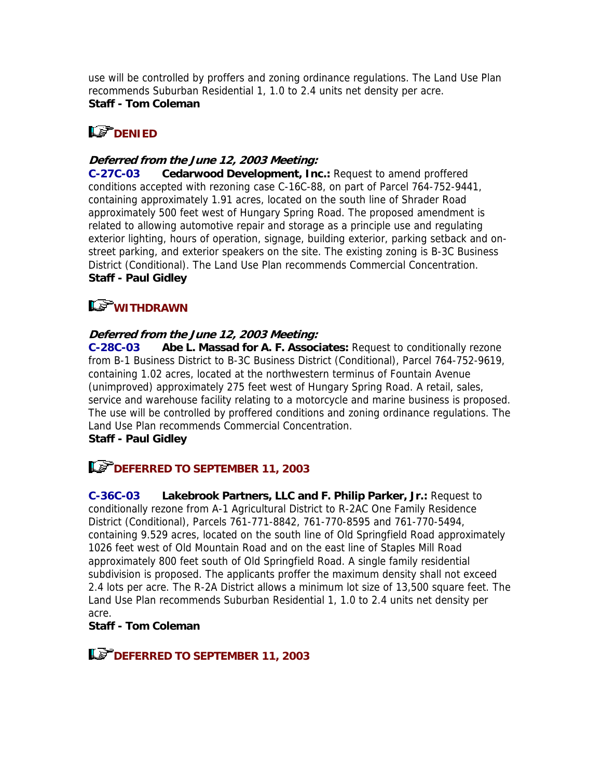use will be controlled by proffers and zoning ordinance regulations. The Land Use Plan recommends Suburban Residential 1, 1.0 to 2.4 units net density per acre. **Staff - Tom Coleman**

# **LS** DENIED

### **Deferred from the June 12, 2003 Meeting:**

**C-27C-03 Cedarwood Development, Inc.:** Request to amend proffered conditions accepted with rezoning case C-16C-88, on part of Parcel 764-752-9441, containing approximately 1.91 acres, located on the south line of Shrader Road approximately 500 feet west of Hungary Spring Road. The proposed amendment is related to allowing automotive repair and storage as a principle use and regulating exterior lighting, hours of operation, signage, building exterior, parking setback and onstreet parking, and exterior speakers on the site. The existing zoning is B-3C Business District (Conditional). The Land Use Plan recommends Commercial Concentration. **Staff - Paul Gidley**

# **WITHDRAWN**

### **Deferred from the June 12, 2003 Meeting:**

**C-28C-03 Abe L. Massad for A. F. Associates:** Request to conditionally rezone from B-1 Business District to B-3C Business District (Conditional), Parcel 764-752-9619, containing 1.02 acres, located at the northwestern terminus of Fountain Avenue (unimproved) approximately 275 feet west of Hungary Spring Road. A retail, sales, service and warehouse facility relating to a motorcycle and marine business is proposed. The use will be controlled by proffered conditions and zoning ordinance regulations. The Land Use Plan recommends Commercial Concentration.

### **Staff - Paul Gidley**

# **DEFERRED TO SEPTEMBER 11, 2003**

**C-36C-03 Lakebrook Partners, LLC and F. Philip Parker, Jr.:** Request to conditionally rezone from A-1 Agricultural District to R-2AC One Family Residence District (Conditional), Parcels 761-771-8842, 761-770-8595 and 761-770-5494, containing 9.529 acres, located on the south line of Old Springfield Road approximately 1026 feet west of Old Mountain Road and on the east line of Staples Mill Road approximately 800 feet south of Old Springfield Road. A single family residential subdivision is proposed. The applicants proffer the maximum density shall not exceed 2.4 lots per acre. The R-2A District allows a minimum lot size of 13,500 square feet. The Land Use Plan recommends Suburban Residential 1, 1.0 to 2.4 units net density per acre.

### **Staff - Tom Coleman**

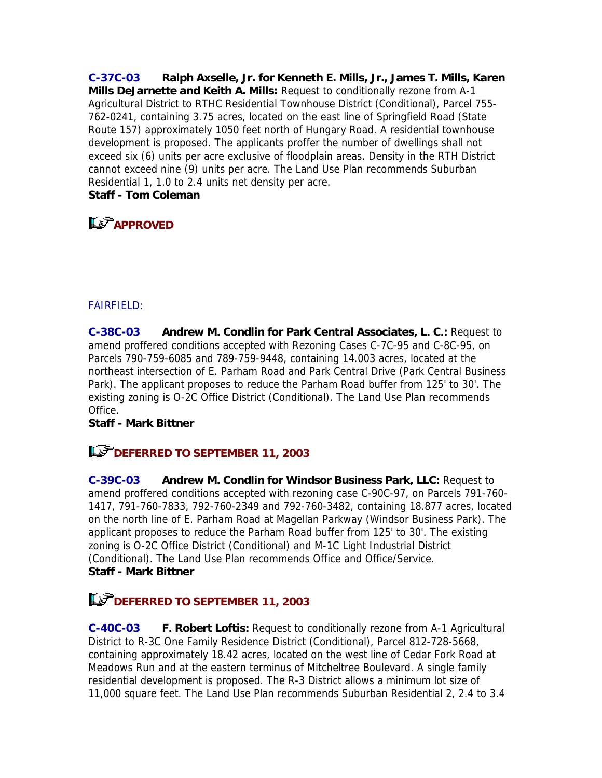**C-37C-03 Ralph Axselle, Jr. for Kenneth E. Mills, Jr., James T. Mills, Karen Mills DeJarnette and Keith A. Mills:** Request to conditionally rezone from A-1 Agricultural District to RTHC Residential Townhouse District (Conditional), Parcel 755- 762-0241, containing 3.75 acres, located on the east line of Springfield Road (State Route 157) approximately 1050 feet north of Hungary Road. A residential townhouse development is proposed. The applicants proffer the number of dwellings shall not exceed six (6) units per acre exclusive of floodplain areas. Density in the RTH District cannot exceed nine (9) units per acre. The Land Use Plan recommends Suburban Residential 1, 1.0 to 2.4 units net density per acre. **Staff - Tom Coleman**

# **APPROVED**

### FAIRFIELD:

**C-38C-03 Andrew M. Condlin for Park Central Associates, L. C.:** Request to amend proffered conditions accepted with Rezoning Cases C-7C-95 and C-8C-95, on Parcels 790-759-6085 and 789-759-9448, containing 14.003 acres, located at the northeast intersection of E. Parham Road and Park Central Drive (Park Central Business Park). The applicant proposes to reduce the Parham Road buffer from 125' to 30'. The existing zoning is O-2C Office District (Conditional). The Land Use Plan recommends Office.

#### **Staff - Mark Bittner**

### **DEFERRED TO SEPTEMBER 11, 2003**

**C-39C-03 Andrew M. Condlin for Windsor Business Park, LLC:** Request to amend proffered conditions accepted with rezoning case C-90C-97, on Parcels 791-760- 1417, 791-760-7833, 792-760-2349 and 792-760-3482, containing 18.877 acres, located on the north line of E. Parham Road at Magellan Parkway (Windsor Business Park). The applicant proposes to reduce the Parham Road buffer from 125' to 30'. The existing zoning is O-2C Office District (Conditional) and M-1C Light Industrial District (Conditional). The Land Use Plan recommends Office and Office/Service. **Staff - Mark Bittner**

# **DEFERRED TO SEPTEMBER 11, 2003**

**C-40C-03 F. Robert Loftis:** Request to conditionally rezone from A-1 Agricultural District to R-3C One Family Residence District (Conditional), Parcel 812-728-5668, containing approximately 18.42 acres, located on the west line of Cedar Fork Road at Meadows Run and at the eastern terminus of Mitcheltree Boulevard. A single family residential development is proposed. The R-3 District allows a minimum lot size of 11,000 square feet. The Land Use Plan recommends Suburban Residential 2, 2.4 to 3.4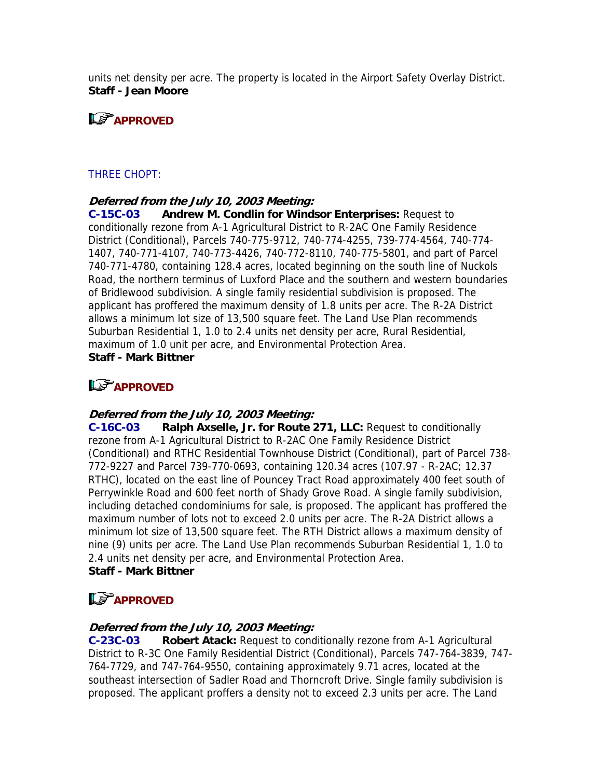units net density per acre. The property is located in the Airport Safety Overlay District. **Staff - Jean Moore**

# **APPROVED**

#### THREE CHOPT:

#### **Deferred from the July 10, 2003 Meeting:**

**C-15C-03 Andrew M. Condlin for Windsor Enterprises:** Request to conditionally rezone from A-1 Agricultural District to R-2AC One Family Residence District (Conditional), Parcels 740-775-9712, 740-774-4255, 739-774-4564, 740-774- 1407, 740-771-4107, 740-773-4426, 740-772-8110, 740-775-5801, and part of Parcel 740-771-4780, containing 128.4 acres, located beginning on the south line of Nuckols Road, the northern terminus of Luxford Place and the southern and western boundaries of Bridlewood subdivision. A single family residential subdivision is proposed. The applicant has proffered the maximum density of 1.8 units per acre. The R-2A District allows a minimum lot size of 13,500 square feet. The Land Use Plan recommends Suburban Residential 1, 1.0 to 2.4 units net density per acre, Rural Residential, maximum of 1.0 unit per acre, and Environmental Protection Area. **Staff - Mark Bittner**

# **APPROVED**

#### **Deferred from the July 10, 2003 Meeting:**

**C-16C-03 Ralph Axselle, Jr. for Route 271, LLC:** Request to conditionally rezone from A-1 Agricultural District to R-2AC One Family Residence District (Conditional) and RTHC Residential Townhouse District (Conditional), part of Parcel 738- 772-9227 and Parcel 739-770-0693, containing 120.34 acres (107.97 - R-2AC; 12.37 RTHC), located on the east line of Pouncey Tract Road approximately 400 feet south of Perrywinkle Road and 600 feet north of Shady Grove Road. A single family subdivision, including detached condominiums for sale, is proposed. The applicant has proffered the maximum number of lots not to exceed 2.0 units per acre. The R-2A District allows a minimum lot size of 13,500 square feet. The RTH District allows a maximum density of nine (9) units per acre. The Land Use Plan recommends Suburban Residential 1, 1.0 to 2.4 units net density per acre, and Environmental Protection Area. **Staff - Mark Bittner**

# **Le<sup>P</sup>APPROVED**

#### **Deferred from the July 10, 2003 Meeting:**

**C-23C-03 Robert Atack:** Request to conditionally rezone from A-1 Agricultural District to R-3C One Family Residential District (Conditional), Parcels 747-764-3839, 747- 764-7729, and 747-764-9550, containing approximately 9.71 acres, located at the southeast intersection of Sadler Road and Thorncroft Drive. Single family subdivision is proposed. The applicant proffers a density not to exceed 2.3 units per acre. The Land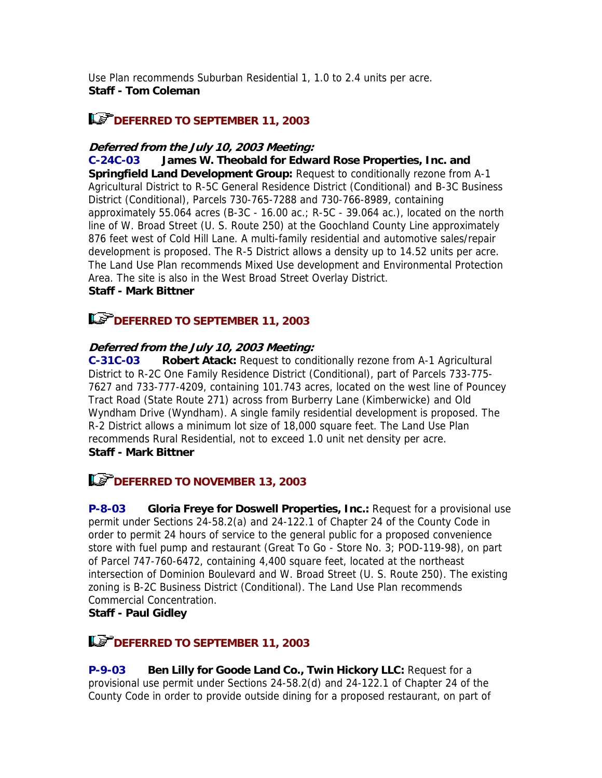Use Plan recommends Suburban Residential 1, 1.0 to 2.4 units per acre. **Staff - Tom Coleman**

# **DEFERRED TO SEPTEMBER 11, 2003**

#### **Deferred from the July 10, 2003 Meeting:**

**C-24C-03 James W. Theobald for Edward Rose Properties, Inc. and Springfield Land Development Group:** Request to conditionally rezone from A-1 Agricultural District to R-5C General Residence District (Conditional) and B-3C Business District (Conditional), Parcels 730-765-7288 and 730-766-8989, containing approximately 55.064 acres (B-3C - 16.00 ac.;  $R$ -5C - 39.064 ac.), located on the north line of W. Broad Street (U. S. Route 250) at the Goochland County Line approximately 876 feet west of Cold Hill Lane. A multi-family residential and automotive sales/repair development is proposed. The R-5 District allows a density up to 14.52 units per acre. The Land Use Plan recommends Mixed Use development and Environmental Protection Area. The site is also in the West Broad Street Overlay District. **Staff - Mark Bittner**

### **DEFERRED TO SEPTEMBER 11, 2003**

#### **Deferred from the July 10, 2003 Meeting:**

**C-31C-03 Robert Atack:** Request to conditionally rezone from A-1 Agricultural District to R-2C One Family Residence District (Conditional), part of Parcels 733-775- 7627 and 733-777-4209, containing 101.743 acres, located on the west line of Pouncey Tract Road (State Route 271) across from Burberry Lane (Kimberwicke) and Old Wyndham Drive (Wyndham). A single family residential development is proposed. The R-2 District allows a minimum lot size of 18,000 square feet. The Land Use Plan recommends Rural Residential, not to exceed 1.0 unit net density per acre. **Staff - Mark Bittner**

# **DEFERRED TO NOVEMBER 13, 2003**

**P-8-03 Gloria Freye for Doswell Properties, Inc.:** Request for a provisional use permit under Sections 24-58.2(a) and 24-122.1 of Chapter 24 of the County Code in order to permit 24 hours of service to the general public for a proposed convenience store with fuel pump and restaurant (Great To Go - Store No. 3; POD-119-98), on part of Parcel 747-760-6472, containing 4,400 square feet, located at the northeast intersection of Dominion Boulevard and W. Broad Street (U. S. Route 250). The existing zoning is B-2C Business District (Conditional). The Land Use Plan recommends Commercial Concentration.

### **Staff - Paul Gidley**

### **DEFERRED TO SEPTEMBER 11, 2003**

**P-9-03 Ben Lilly for Goode Land Co., Twin Hickory LLC:** Request for a provisional use permit under Sections 24-58.2(d) and 24-122.1 of Chapter 24 of the County Code in order to provide outside dining for a proposed restaurant, on part of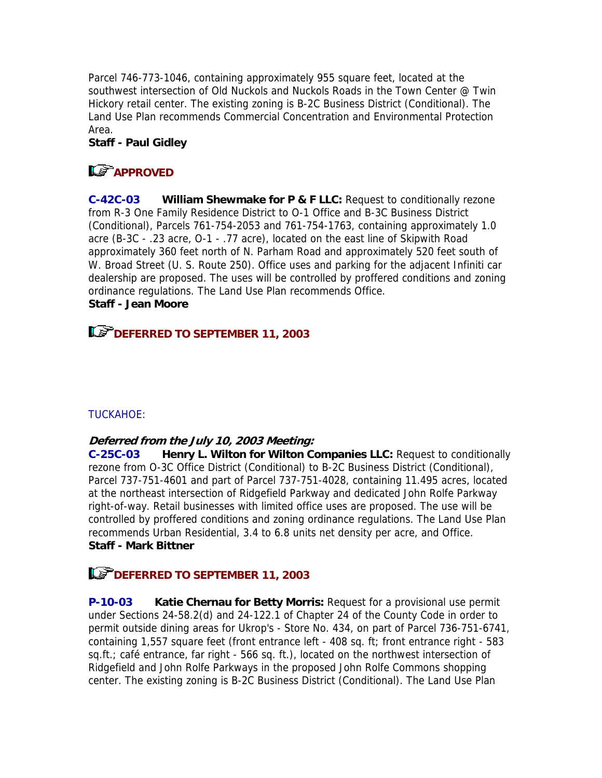Parcel 746-773-1046, containing approximately 955 square feet, located at the southwest intersection of Old Nuckols and Nuckols Roads in the Town Center @ Twin Hickory retail center. The existing zoning is B-2C Business District (Conditional). The Land Use Plan recommends Commercial Concentration and Environmental Protection Area.

### **Staff - Paul Gidley**

# **LS** APPROVED

**C-42C-03 William Shewmake for P & F LLC:** Request to conditionally rezone from R-3 One Family Residence District to O-1 Office and B-3C Business District (Conditional), Parcels 761-754-2053 and 761-754-1763, containing approximately 1.0 acre (B-3C - .23 acre, O-1 - .77 acre), located on the east line of Skipwith Road approximately 360 feet north of N. Parham Road and approximately 520 feet south of W. Broad Street (U. S. Route 250). Office uses and parking for the adjacent Infiniti car dealership are proposed. The uses will be controlled by proffered conditions and zoning ordinance regulations. The Land Use Plan recommends Office. **Staff - Jean Moore**

# **DEFERRED TO SEPTEMBER 11, 2003**

### TUCKAHOE:

### **Deferred from the July 10, 2003 Meeting:**

**C-25C-03 Henry L. Wilton for Wilton Companies LLC:** Request to conditionally rezone from O-3C Office District (Conditional) to B-2C Business District (Conditional), Parcel 737-751-4601 and part of Parcel 737-751-4028, containing 11.495 acres, located at the northeast intersection of Ridgefield Parkway and dedicated John Rolfe Parkway right-of-way. Retail businesses with limited office uses are proposed. The use will be controlled by proffered conditions and zoning ordinance regulations. The Land Use Plan recommends Urban Residential, 3.4 to 6.8 units net density per acre, and Office. **Staff - Mark Bittner**

# **DEFERRED TO SEPTEMBER 11, 2003**

**P-10-03 Katie Chernau for Betty Morris:** Request for a provisional use permit under Sections 24-58.2(d) and 24-122.1 of Chapter 24 of the County Code in order to permit outside dining areas for Ukrop's - Store No. 434, on part of Parcel 736-751-6741, containing 1,557 square feet (front entrance left - 408 sq. ft; front entrance right - 583 sq.ft.; café entrance, far right - 566 sq. ft.), located on the northwest intersection of Ridgefield and John Rolfe Parkways in the proposed John Rolfe Commons shopping center. The existing zoning is B-2C Business District (Conditional). The Land Use Plan